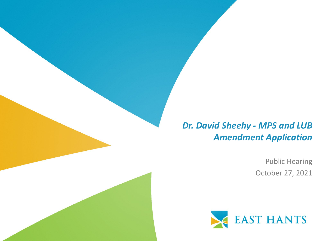#### *Dr. David Sheehy - MPS and LUB Amendment Application*

Public Hearing October 27, 2021

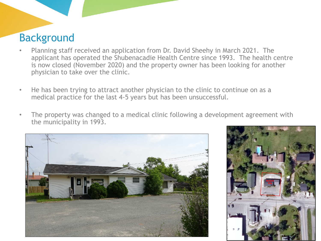#### Background

- Planning staff received an application from Dr. David Sheehy in March 2021. The applicant has operated the Shubenacadie Health Centre since 1993. The health centre is now closed (November 2020) and the property owner has been looking for another physician to take over the clinic.
- He has been trying to attract another physician to the clinic to continue on as a medical practice for the last 4-5 years but has been unsuccessful.
- The property was changed to a medical clinic following a development agreement with the municipality in 1993.



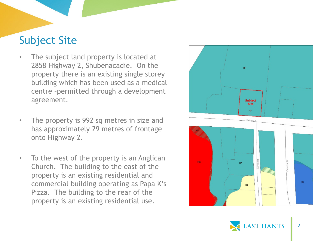# Subject Site

- The subject land property is located at 2858 Highway 2, Shubenacadie. On the property there is an existing single storey building which has been used as a medical centre –permitted through a development agreement.
- The property is 992 sq metres in size and has approximately 29 metres of frontage onto Highway 2.
- To the west of the property is an Anglican Church. The building to the east of the property is an existing residential and commercial building operating as Papa K's Pizza. The building to the rear of the property is an existing residential use.



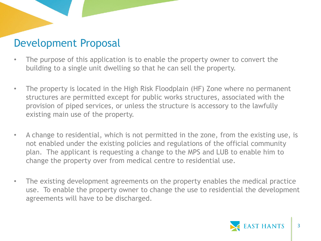## Development Proposal

- The purpose of this application is to enable the property owner to convert the building to a single unit dwelling so that he can sell the property.
- The property is located in the High Risk Floodplain (HF) Zone where no permanent structures are permitted except for public works structures, associated with the provision of piped services, or unless the structure is accessory to the lawfully existing main use of the property.
- A change to residential, which is not permitted in the zone, from the existing use, is not enabled under the existing policies and regulations of the official community plan. The applicant is requesting a change to the MPS and LUB to enable him to change the property over from medical centre to residential use.
- The existing development agreements on the property enables the medical practice use. To enable the property owner to change the use to residential the development agreements will have to be discharged.

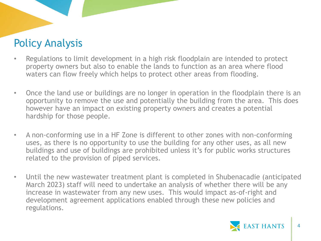# Policy Analysis

- Regulations to limit development in a high risk floodplain are intended to protect property owners but also to enable the lands to function as an area where flood waters can flow freely which helps to protect other areas from flooding.
- Once the land use or buildings are no longer in operation in the floodplain there is an opportunity to remove the use and potentially the building from the area. This does however have an impact on existing property owners and creates a potential hardship for those people.
- A non-conforming use in a HF Zone is different to other zones with non-conforming uses, as there is no opportunity to use the building for any other uses, as all new buildings and use of buildings are prohibited unless it's for public works structures related to the provision of piped services.
- Until the new wastewater treatment plant is completed in Shubenacadie (anticipated March 2023) staff will need to undertake an analysis of whether there will be any increase in wastewater from any new uses. This would impact as-of-right and development agreement applications enabled through these new policies and regulations.

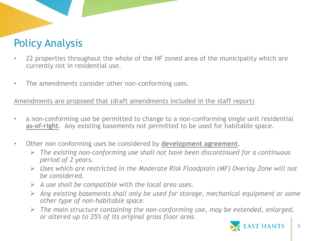# Policy Analysis

- 22 properties throughout the whole of the HF zoned area of the municipality which are currently not in residential use.
- The amendments consider other non-conforming uses.

Amendments are proposed that (draft amendments included in the staff report)

- a non-conforming use be permitted to change to a non-conforming single unit residential **as-of-right**. Any existing basements not permitted to be used for habitable space.
- Other non conforming uses be considered by **development agreement**.
	- *The existing non-conforming use shall not have been discontinued for a continuous period of 2 years.*
	- *Uses which are restricted in the Moderate Risk Floodplain (MF) Overlay Zone will not be considered.*
	- *A use shall be compatible with the local area uses.*
	- *Any existing basements shall only be used for storage, mechanical equipment or some other type of non-habitable space.*
	- *The main structure containing the non-conforming use, may be extended, enlarged, or altered up to 25% of its original gross floor area.*

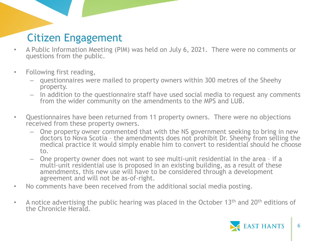# Citizen Engagement

- A Public Information Meeting (PIM) was held on July 6, 2021. There were no comments or questions from the public.
- Following first reading,
	- questionnaires were mailed to property owners within 300 metres of the Sheehy property.
	- In addition to the questionnaire staff have used social media to request any comments from the wider community on the amendments to the MPS and LUB.
- Questionnaires have been returned from 11 property owners. There were no objections received from these property owners.
	- One property owner commented that with the NS government seeking to bring in new doctors to Nova Scotia – the amendments does not prohibit Dr. Sheehy from selling the medical practice it would simply enable him to convert to residential should he choose to.
	- One property owner does not want to see multi-unit residential in the area if a multi-unit residential use is proposed in an existing building, as a result of these amendments, this new use will have to be considered through a development agreement and will not be as-of-right.
- No comments have been received from the additional social media posting.
- A notice advertising the public hearing was placed in the October 13<sup>th</sup> and 20<sup>th</sup> editions of the Chronicle Herald.